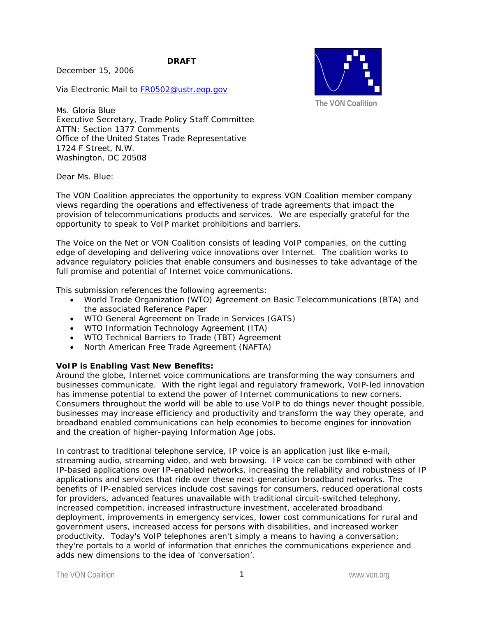**DRAFT** 

December 15, 2006

Via Electronic Mail to FR0502@ustr.eop.gov



Ms. Gloria Blue Executive Secretary, Trade Policy Staff Committee ATTN: Section 1377 Comments Office of the United States Trade Representative 1724 F Street, N.W. Washington, DC 20508

Dear Ms. Blue:

The VON Coalition appreciates the opportunity to express VON Coalition member company views regarding the operations and effectiveness of trade agreements that impact the provision of telecommunications products and services. We are especially grateful for the opportunity to speak to VoIP market prohibitions and barriers.

The Voice on the Net or VON Coalition consists of leading VoIP companies, on the cutting edge of developing and delivering voice innovations over Internet. The coalition works to advance regulatory policies that enable consumers and businesses to take advantage of the full promise and potential of Internet voice communications.

This submission references the following agreements:

- World Trade Organization (WTO) Agreement on Basic Telecommunications (BTA) and the associated Reference Paper
- WTO General Agreement on Trade in Services (GATS)
- WTO Information Technology Agreement (ITA)
- WTO Technical Barriers to Trade (TBT) Agreement
- North American Free Trade Agreement (NAFTA)

### **VoIP is Enabling Vast New Benefits:**

Around the globe, Internet voice communications are transforming the way consumers and businesses communicate. With the right legal and regulatory framework, VoIP-led innovation has immense potential to extend the power of Internet communications to new corners. Consumers throughout the world will be able to use VoIP to do things never thought possible, businesses may increase efficiency and productivity and transform the way they operate, and broadband enabled communications can help economies to become engines for innovation and the creation of higher-paying Information Age jobs.

In contrast to traditional telephone service, IP voice is an application just like e-mail, streaming audio, streaming video, and web browsing. IP voice can be combined with other IP-based applications over IP-enabled networks, increasing the reliability and robustness of IP applications and services that ride over these next-generation broadband networks. The benefits of IP-enabled services include cost savings for consumers, reduced operational costs for providers, advanced features unavailable with traditional circuit-switched telephony, increased competition, increased infrastructure investment, accelerated broadband deployment, improvements in emergency services, lower cost communications for rural and government users, increased access for persons with disabilities, and increased worker productivity. Today's VoIP telephones aren't simply a means to having a conversation; they're portals to a world of information that enriches the communications experience and adds new dimensions to the idea of 'conversation'.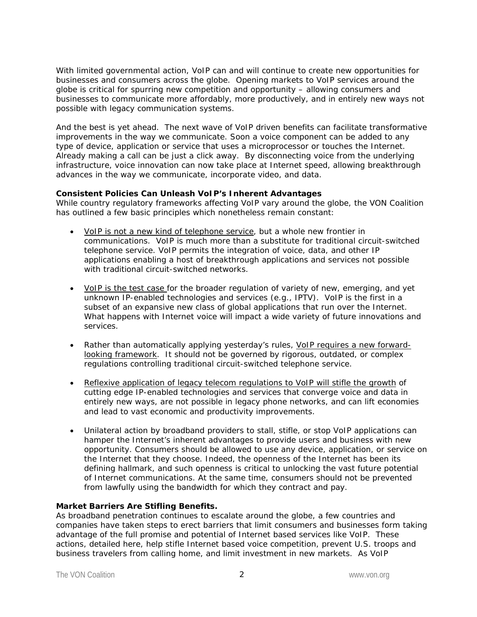With limited governmental action, VoIP can and will continue to create new opportunities for businesses and consumers across the globe. Opening markets to VoIP services around the globe is critical for spurring new competition and opportunity – allowing consumers and businesses to communicate more affordably, more productively, and in entirely new ways not possible with legacy communication systems.

And the best is yet ahead. The next wave of VoIP driven benefits can facilitate transformative improvements in the way we communicate. Soon a voice component can be added to any type of device, application or service that uses a microprocessor or touches the Internet. Already making a call can be just a click away. By disconnecting voice from the underlying infrastructure, voice innovation can now take place at Internet speed, allowing breakthrough advances in the way we communicate, incorporate video, and data.

## **Consistent Policies Can Unleash VoIP's Inherent Advantages**

While country regulatory frameworks affecting VoIP vary around the globe, the VON Coalition has outlined a few basic principles which nonetheless remain constant:

- VoIP is not a new kind of telephone service, but a whole new frontier in communications. VoIP is much more than a substitute for traditional circuit-switched telephone service. VoIP permits the integration of voice, data, and other IP applications enabling a host of breakthrough applications and services not possible with traditional circuit-switched networks.
- VoIP is the test case for the broader regulation of variety of new, emerging, and yet unknown IP-enabled technologies and services (e.g., IPTV). VoIP is the first in a subset of an expansive new class of global applications that run over the Internet. What happens with Internet voice will impact a wide variety of future innovations and services.
- Rather than automatically applying yesterday's rules, VoIP requires a new forwardlooking framework. It should not be governed by rigorous, outdated, or complex regulations controlling traditional circuit-switched telephone service.
- Reflexive application of legacy telecom regulations to VoIP will stifle the growth of cutting edge IP-enabled technologies and services that converge voice and data in entirely new ways, are not possible in legacy phone networks, and can lift economies and lead to vast economic and productivity improvements.
- Unilateral action by broadband providers to stall, stifle, or stop VoIP applications can hamper the Internet's inherent advantages to provide users and business with new opportunity. Consumers should be allowed to use any device, application, or service on the Internet that they choose. Indeed, the openness of the Internet has been its defining hallmark, and such openness is critical to unlocking the vast future potential of Internet communications. At the same time, consumers should not be prevented from lawfully using the bandwidth for which they contract and pay.

# **Market Barriers Are Stifling Benefits.**

As broadband penetration continues to escalate around the globe, a few countries and companies have taken steps to erect barriers that limit consumers and businesses form taking advantage of the full promise and potential of Internet based services like VoIP. These actions, detailed here, help stifle Internet based voice competition, prevent U.S. troops and business travelers from calling home, and limit investment in new markets. As VoIP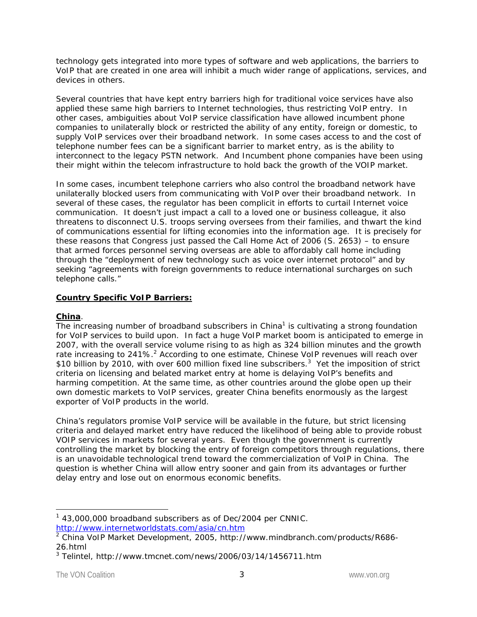technology gets integrated into more types of software and web applications, the barriers to VoIP that are created in one area will inhibit a much wider range of applications, services, and devices in others.

Several countries that have kept entry barriers high for traditional voice services have also applied these same high barriers to Internet technologies, thus restricting VoIP entry. In other cases, ambiguities about VoIP service classification have allowed incumbent phone companies to unilaterally block or restricted the ability of any entity, foreign or domestic, to supply VoIP services over their broadband network. In some cases access to and the cost of telephone number fees can be a significant barrier to market entry, as is the ability to interconnect to the legacy PSTN network. And Incumbent phone companies have been using their might within the telecom infrastructure to hold back the growth of the VOIP market.

In some cases, incumbent telephone carriers who also control the broadband network have unilaterally blocked users from communicating with VoIP over their broadband network. In several of these cases, the regulator has been complicit in efforts to curtail Internet voice communication. It doesn't just impact a call to a loved one or business colleague, it also threatens to disconnect U.S. troops serving oversees from their families, and thwart the kind of communications essential for lifting economies into the information age. It is precisely for these reasons that Congress just passed the Call Home Act of 2006 (S. 2653) – to ensure that armed forces personnel serving overseas are able to affordably call home including through the "deployment of new technology such as voice over internet protocol" and by seeking "agreements with foreign governments to reduce international surcharges on such telephone calls."

# **Country Specific VoIP Barriers:**

### **China**.

The increasing number of broadband subscribers in China<sup>1</sup> is cultivating a strong foundation for VoIP services to build upon. In fact a huge VoIP market boom is anticipated to emerge in 2007, with the overall service volume rising to as high as 324 billion minutes and the growth rate increasing to 241%.<sup>2</sup> According to one estimate, Chinese VoIP revenues will reach over \$10 billion by 2010, with over 600 million fixed line subscribers.<sup>3</sup> Yet the imposition of strict criteria on licensing and belated market entry at home is delaying VoIP's benefits and harming competition. At the same time, as other countries around the globe open up their own domestic markets to VoIP services, greater China benefits enormously as the largest exporter of VoIP products in the world.

China's regulators promise VoIP service will be available in the future, but strict licensing criteria and delayed market entry have reduced the likelihood of being able to provide robust VOIP services in markets for several years. Even though the government is currently controlling the market by blocking the entry of foreign competitors through regulations, there is an unavoidable technological trend toward the commercialization of VoIP in China. The question is whether China will allow entry sooner and gain from its advantages or further delay entry and lose out on enormous economic benefits.

<sup>-</sup><sup>1</sup> 43,000,000 broadband subscribers as of Dec/2004 per CNNIC. http://www.internetworldstats.com/asia/cn.htm

<sup>&</sup>lt;sup>2</sup> China VoIP Market Development, 2005, http://www.mindbranch.com/products/R686-26.html

<sup>3</sup> Telintel, http://www.tmcnet.com/news/2006/03/14/1456711.htm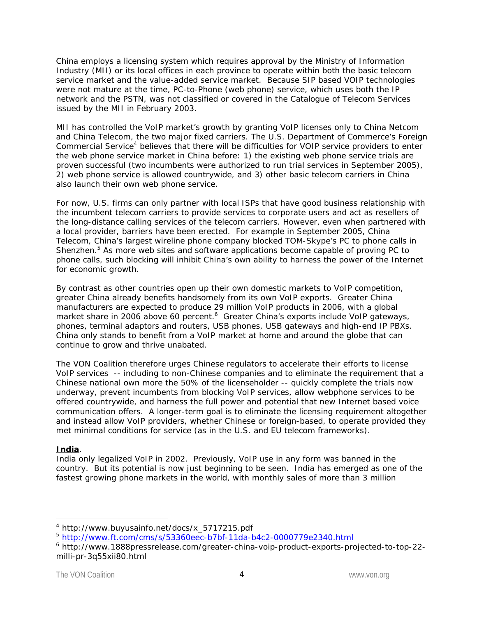China employs a licensing system which requires approval by the Ministry of Information Industry (MII) or its local offices in each province to operate within both the basic telecom service market and the value-added service market. Because SIP based VOIP technologies were not mature at the time, PC-to-Phone (web phone) service, which uses both the IP network and the PSTN, was not classified or covered in the Catalogue of Telecom Services issued by the MII in February 2003.

MII has controlled the VoIP market's growth by granting VoIP licenses only to China Netcom and China Telecom, the two major fixed carriers. The U.S. Department of Commerce's Foreign Commercial Service<sup>4</sup> believes that there will be difficulties for VOIP service providers to enter the web phone service market in China before: 1) the existing web phone service trials are proven successful (two incumbents were authorized to run trial services in September 2005), 2) web phone service is allowed countrywide, and 3) other basic telecom carriers in China also launch their own web phone service.

For now, U.S. firms can only partner with local ISPs that have good business relationship with the incumbent telecom carriers to provide services to corporate users and act as resellers of the long-distance calling services of the telecom carriers. However, even when partnered with a local provider, barriers have been erected. For example in September 2005, China Telecom, China's largest wireline phone company blocked TOM-Skype's PC to phone calls in Shenzhen.<sup>5</sup> As more web sites and software applications become capable of proving PC to phone calls, such blocking will inhibit China's own ability to harness the power of the Internet for economic growth.

By contrast as other countries open up their own domestic markets to VoIP competition, greater China already benefits handsomely from its own VoIP exports. Greater China manufacturers are expected to produce 29 million VoIP products in 2006, with a global market share in 2006 above 60 percent.<sup>6</sup> Greater China's exports include VoIP gateways, phones, terminal adaptors and routers, USB phones, USB gateways and high-end IP PBXs. China only stands to benefit from a VoIP market at home and around the globe that can continue to grow and thrive unabated.

The VON Coalition therefore urges Chinese regulators to accelerate their efforts to license VoIP services -- including to non-Chinese companies and to eliminate the requirement that a Chinese national own more the 50% of the licenseholder -- quickly complete the trials now underway, prevent incumbents from blocking VoIP services, allow webphone services to be offered countrywide, and harness the full power and potential that new Internet based voice communication offers. A longer-term goal is to eliminate the licensing requirement altogether and instead allow VoIP providers, whether Chinese or foreign-based, to operate provided they met minimal conditions for service (as in the U.S. and EU telecom frameworks).

# **India**.

-

India only legalized VoIP in 2002. Previously, VoIP use in any form was banned in the country. But its potential is now just beginning to be seen. India has emerged as one of the fastest growing phone markets in the world, with monthly sales of more than 3 million

<sup>4</sup> http://www.buyusainfo.net/docs/x\_5717215.pdf

<sup>5</sup> http://www.ft.com/cms/s/53360eec-b7bf-11da-b4c2-0000779e2340.html

<sup>&</sup>lt;sup>6</sup> http://www.1888pressrelease.com/greater-china-voip-product-exports-projected-to-top-22milli-pr-3q55xii80.html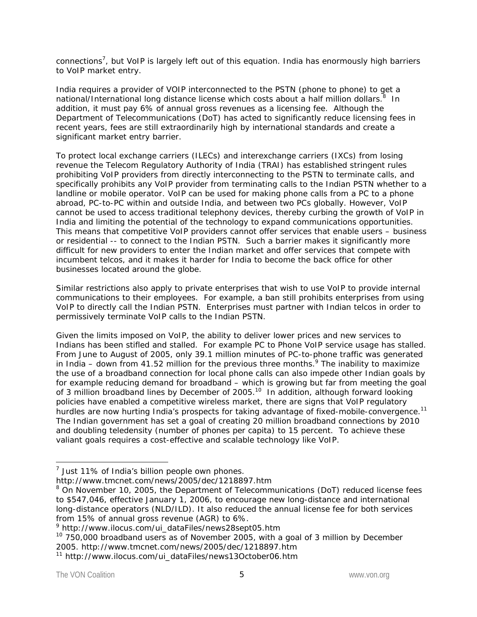connections<sup>7</sup>, but VoIP is largely left out of this equation. India has enormously high barriers to VoIP market entry.

India requires a provider of VOIP interconnected to the PSTN (phone to phone) to get a national/International long distance license which costs about a half million dollars. $^8$  In addition, it must pay 6% of annual gross revenues as a licensing fee. Although the Department of Telecommunications (DoT) has acted to significantly reduce licensing fees in recent years, fees are still extraordinarily high by international standards and create a significant market entry barrier.

To protect local exchange carriers (ILECs) and interexchange carriers (IXCs) from losing revenue the Telecom Regulatory Authority of India (TRAI) has established stringent rules prohibiting VoIP providers from directly interconnecting to the PSTN to terminate calls, and specifically prohibits any VoIP provider from terminating calls to the Indian PSTN whether to a landline or mobile operator. VoIP can be used for making phone calls from a PC to a phone abroad, PC-to-PC within and outside India, and between two PCs globally. However, VoIP cannot be used to access traditional telephony devices, thereby curbing the growth of VoIP in India and limiting the potential of the technology to expand communications opportunities. This means that competitive VoIP providers cannot offer services that enable users – business or residential -- to connect to the Indian PSTN. Such a barrier makes it significantly more difficult for new providers to enter the Indian market and offer services that compete with incumbent telcos, and it makes it harder for India to become the back office for other businesses located around the globe.

Similar restrictions also apply to private enterprises that wish to use VoIP to provide internal communications to their employees. For example, a ban still prohibits enterprises from using VoIP to directly call the Indian PSTN. Enterprises must partner with Indian telcos in order to permissively terminate VoIP calls to the Indian PSTN.

Given the limits imposed on VoIP, the ability to deliver lower prices and new services to Indians has been stifled and stalled. For example PC to Phone VoIP service usage has stalled. From June to August of 2005, only 39.1 million minutes of PC-to-phone traffic was generated in India – down from 41.52 million for the previous three months.  $9$  The inability to maximize the use of a broadband connection for local phone calls can also impede other Indian goals by for example reducing demand for broadband – which is growing but far from meeting the goal of 3 million broadband lines by December of 2005.<sup>10</sup> In addition, although forward looking policies have enabled a competitive wireless market, there are signs that VoIP regulatory hurdles are now hurting India's prospects for taking advantage of fixed-mobile-convergence.<sup>11</sup> The Indian government has set a goal of creating 20 million broadband connections by 2010 and doubling teledensity (number of phones per capita) to 15 percent. To achieve these valiant goals requires a cost-effective and scalable technology like VoIP.

 $<sup>7</sup>$  Just 11% of India's billion people own phones.</sup>

http://www.tmcnet.com/news/2005/dec/1218897.htm

<sup>&</sup>lt;sup>8</sup> On November 10, 2005, the Department of Telecommunications (DoT) reduced license fees to \$547,046, effective January 1, 2006, to encourage new long-distance and international long-distance operators (NLD/ILD). It also reduced the annual license fee for both services from 15% of annual gross revenue (AGR) to 6%.

<sup>9</sup> http://www.ilocus.com/ui\_dataFiles/news28sept05.htm

 $10$  750,000 broadband users as of November 2005, with a goal of 3 million by December 2005. http://www.tmcnet.com/news/2005/dec/1218897.htm

<sup>11</sup> http://www.ilocus.com/ui\_dataFiles/news13October06.htm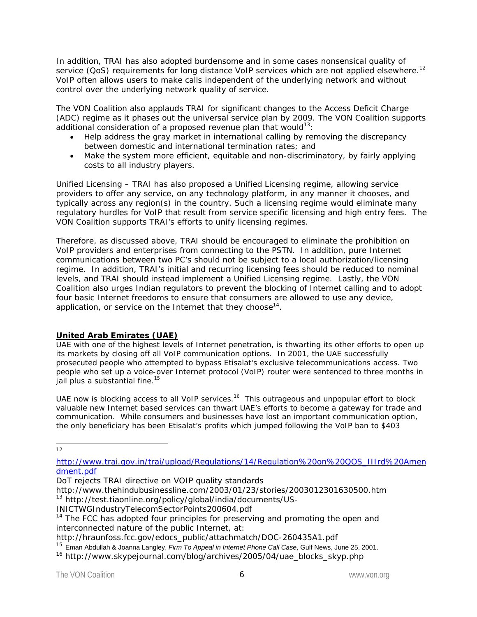In addition, TRAI has also adopted burdensome and in some cases nonsensical quality of service ( $QoS$ ) requirements for long distance VoIP services which are not applied elsewhere.<sup>12</sup> VoIP often allows users to make calls independent of the underlying network and without control over the underlying network quality of service.

The VON Coalition also applauds TRAI for significant changes to the Access Deficit Charge (ADC) regime as it phases out the universal service plan by 2009. The VON Coalition supports additional consideration of a proposed revenue plan that would<sup>13</sup>:

- Help address the gray market in international calling by removing the discrepancy between domestic and international termination rates; and
- Make the system more efficient, equitable and non-discriminatory, by fairly applying costs to all industry players.

Unified Licensing – TRAI has also proposed a Unified Licensing regime, allowing service providers to offer any service, on any technology platform, in any manner it chooses, and typically across any region(s) in the country. Such a licensing regime would eliminate many regulatory hurdles for VoIP that result from service specific licensing and high entry fees. The VON Coalition supports TRAI's efforts to unify licensing regimes.

Therefore, as discussed above, TRAI should be encouraged to eliminate the prohibition on VoIP providers and enterprises from connecting to the PSTN. In addition, pure Internet communications between two PC's should not be subject to a local authorization/licensing regime. In addition, TRAI's initial and recurring licensing fees should be reduced to nominal levels, and TRAI should instead implement a Unified Licensing regime. Lastly, the VON Coalition also urges Indian regulators to prevent the blocking of Internet calling and to adopt four basic Internet freedoms to ensure that consumers are allowed to use any device, application, or service on the Internet that they choose<sup>14</sup>.

# **United Arab Emirates (UAE)**

UAE with one of the highest levels of Internet penetration, is thwarting its other efforts to open up its markets by closing off all VoIP communication options. In 2001, the UAE successfully prosecuted people who attempted to bypass Etisalat's exclusive telecommunications access. Two people who set up a voice-over Internet protocol (VoIP) router were sentenced to three months in jail plus a substantial fine.<sup>15</sup>

UAE now is blocking access to all VoIP services.<sup>16</sup> This outrageous and unpopular effort to block valuable new Internet based services can thwart UAE's efforts to become a gateway for trade and communication. While consumers and businesses have lost an important communication option, the only beneficiary has been Etisalat's profits which jumped following the VoIP ban to \$403

 $\frac{1}{12}$ 

http://www.trai.gov.in/trai/upload/Regulations/14/Regulation%20on%20QOS\_IIIrd%20Amen dment.pdf

DoT rejects TRAI directive on VOIP quality standards

http://www.thehindubusinessline.com/2003/01/23/stories/2003012301630500.htm 13 http://test.tiaonline.org/policy/global/india/documents/US-

INICTWGIndustryTelecomSectorPoints200604.pdf

 $14$  The FCC has adopted four principles for preserving and promoting the open and interconnected nature of the public Internet, at:

http://hraunfoss.fcc.gov/edocs\_public/attachmatch/DOC-260435A1.pdf

<sup>15</sup> Eman Abdullah & Joanna Langley, *Firm To Appeal in Internet Phone Call Case*, Gulf News, June 25, 2001.

<sup>&</sup>lt;sup>16</sup> http://www.skypejournal.com/blog/archives/2005/04/uae\_blocks\_skyp.php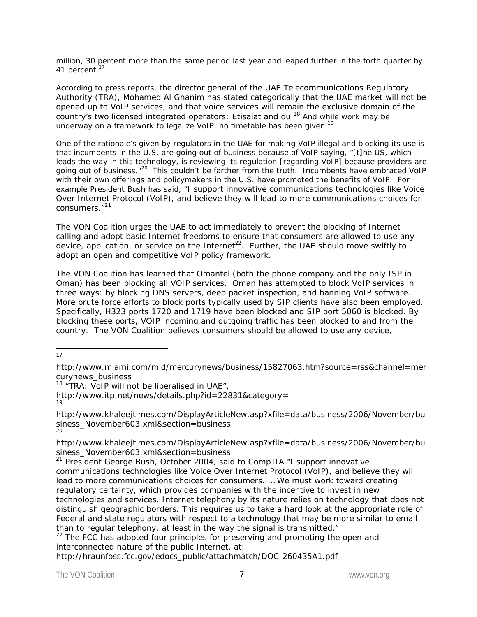million, 30 percent more than the same period last year and leaped further in the forth quarter by 41 percent.<sup>17</sup>

According to press reports, the director general of the UAE Telecommunications Regulatory Authority (TRA), Mohamed Al Ghanim has stated categorically that the UAE market will not be opened up to VoIP services, and that voice services will remain the exclusive domain of the country's two licensed integrated operators: Etisalat and du.<sup>18</sup> And while work may be underway on a framework to legalize VoIP, no timetable has been given.<sup>19</sup>

One of the rationale's given by regulators in the UAE for making VoIP illegal and blocking its use is that incumbents in the U.S. are going out of business because of VoIP saying, "[t]he US, which leads the way in this technology, is reviewing its regulation [regarding VoIP] because providers are going out of business."<sup>20</sup> This couldn't be farther from the truth. Incumbents have embraced VoIP with their own offerings and policymakers in the U.S. have promoted the benefits of VoIP. For example President Bush has said, *"I support innovative communications technologies like Voice Over Internet Protocol (VoIP), and believe they will lead to more communications choices for consumers."21* 

The VON Coalition urges the UAE to act immediately to prevent the blocking of Internet calling and adopt basic Internet freedoms to ensure that consumers are allowed to use any device, application, or service on the Internet<sup>22</sup>. Further, the UAE should move swiftly to adopt an open and competitive VoIP policy framework.

The VON Coalition has learned that Omantel (both the phone company and the only ISP in Oman) has been blocking all VOIP services. Oman has attempted to block VoIP services in three ways: by blocking DNS servers, deep packet inspection, and banning VoIP software. More brute force efforts to block ports typically used by SIP clients have also been employed. Specifically, H323 ports 1720 and 1719 have been blocked and SIP port 5060 is blocked. By blocking these ports, VOIP incoming and outgoing traffic has been blocked to and from the country. The VON Coalition believes consumers should be allowed to use any device,

 $\frac{1}{17}$ 

 $18$  "TRA: VoIP will not be liberalised in UAE",

http://www.itp.net/news/details.php?id=22831&category= 19

http://www.khaleejtimes.com/DisplayArticleNew.asp?xfile=data/business/2006/November/bu siness\_November603.xml&section=business 20

http://www.khaleejtimes.com/DisplayArticleNew.asp?xfile=data/business/2006/November/bu siness\_November603.xml&section=business

21 President George Bush, October 2004, said to CompTIA "*I support innovative communications technologies like Voice Over Internet Protocol (VoIP), and believe they will lead to more communications choices for consumers. … We must work toward creating regulatory certainty, which provides companies with the incentive to invest in new technologies and services. Internet telephony by its nature relies on technology that does not distinguish geographic borders. This requires us to take a hard look at the appropriate role of Federal and state regulators with respect to a technology that may be more similar to email* 

*than to regular telephony, at least in the way the signal is transmitted."*<br><sup>22</sup> The FCC has adopted four principles for preserving and promoting the open and interconnected nature of the public Internet, at:

http://hraunfoss.fcc.gov/edocs\_public/attachmatch/DOC-260435A1.pdf

http://www.miami.com/mld/mercurynews/business/15827063.htm?source=rss&channel=mer curynews\_business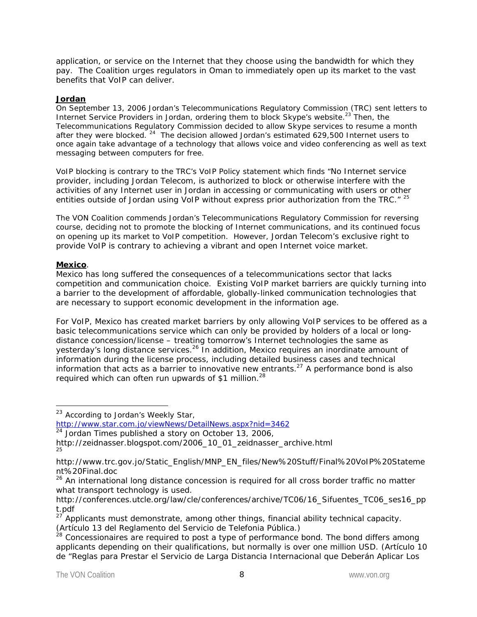application, or service on the Internet that they choose using the bandwidth for which they pay. The Coalition urges regulators in Oman to immediately open up its market to the vast benefits that VoIP can deliver.

## **Jordan**

On September 13, 2006 Jordan's Telecommunications Regulatory Commission (TRC) sent letters to Internet Service Providers in Jordan, ordering them to block Skype's website.<sup>23</sup> Then, the Telecommunications Regulatory Commission decided to allow Skype services to resume a month after they were blocked.<sup>24</sup> The decision allowed Jordan's estimated 629,500 Internet users to once again take advantage of a technology that allows voice and video conferencing as well as text messaging between computers for free.

VoIP blocking is contrary to the TRC's VoIP Policy statement which finds "*No Internet service provider, including Jordan Telecom, is authorized to block or otherwise interfere with the activities of any Internet user in Jordan in accessing or communicating with users or other entities outside of Jordan using VoIP without express prior authorization from the TRC."* <sup>25</sup>

The VON Coalition commends Jordan's Telecommunications Regulatory Commission for reversing course, deciding not to promote the blocking of Internet communications, and its continued focus on opening up its market to VoIP competition. However, Jordan Telecom's exclusive right to provide VoIP is contrary to achieving a vibrant and open Internet voice market.

### **Mexico**.

-

Mexico has long suffered the consequences of a telecommunications sector that lacks competition and communication choice. Existing VoIP market barriers are quickly turning into a barrier to the development of affordable, globally-linked communication technologies that are necessary to support economic development in the information age.

For VoIP, Mexico has created market barriers by only allowing VoIP services to be offered as a basic telecommunications service which can only be provided by holders of a local or longdistance concession/license – treating tomorrow's Internet technologies the same as yesterday's long distance services.<sup>26</sup> In addition, Mexico requires an inordinate amount of information during the license process, including detailed business cases and technical information that acts as a barrier to innovative new entrants.<sup>27</sup> A performance bond is also required which can often run upwards of \$1 million.<sup>28</sup>

http://www.star.com.jo/viewNews/DetailNews.aspx?nid=3462

 $24$  Jordan Times published a story on October 13, 2006,

<sup>&</sup>lt;sup>23</sup> According to Jordan's Weekly Star,

http://zeidnasser.blogspot.com/2006\_10\_01\_zeidnasser\_archive.html 25

http://www.trc.gov.jo/Static\_English/MNP\_EN\_files/New%20Stuff/Final%20VoIP%20Stateme nt%20Final.doc

<sup>&</sup>lt;sup>26</sup> An international long distance concession is required for all cross border traffic no matter what transport technology is used.

http://conferences.utcle.org/law/cle/conferences/archive/TC06/16\_Sifuentes\_TC06\_ses16\_pp t.pdf

 $27$  Applicants must demonstrate, among other things, financial ability technical capacity. (Artículo 13 del Reglamento del Servicio de Telefonia Pública.)

<sup>&</sup>lt;sup>28</sup> Concessionaires are required to post a type of performance bond. The bond differs among applicants depending on their qualifications, but normally is over one million USD. (Artículo 10 de "Reglas para Prestar el Servicio de Larga Distancia Internacional que Deberán Aplicar Los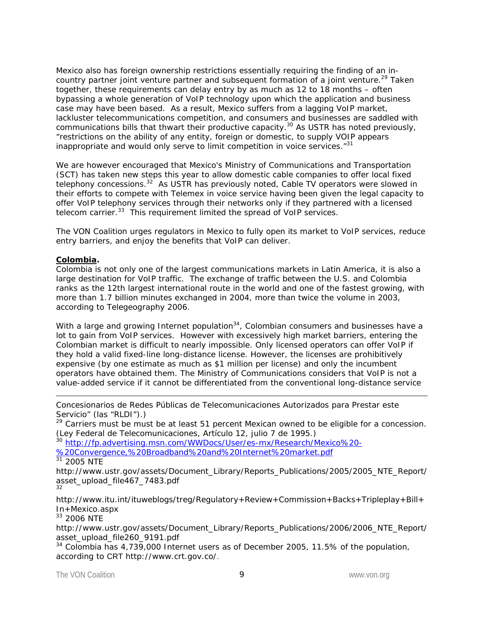Mexico also has foreign ownership restrictions essentially requiring the finding of an incountry partner joint venture partner and subsequent formation of a joint venture.<sup>29</sup> Taken together, these requirements can delay entry by as much as 12 to 18 months – often bypassing a whole generation of VoIP technology upon which the application and business case may have been based. As a result, Mexico suffers from a lagging VoIP market, lackluster telecommunications competition, and consumers and businesses are saddled with communications bills that thwart their productive capacity.30 As USTR has noted previously, "restrictions on the ability of any entity, foreign or domestic, to supply VOIP appears inappropriate and would only serve to limit competition in voice services."<sup>31</sup>

We are however encouraged that Mexico's Ministry of Communications and Transportation (SCT) has taken new steps this year to allow domestic cable companies to offer local fixed telephony concessions.<sup>32</sup> As USTR has previously noted, Cable TV operators were slowed in their efforts to compete with Telemex in voice service having been given the legal capacity to offer VoIP telephony services through their networks only if they partnered with a licensed telecom carrier.<sup>33</sup> This requirement limited the spread of VoIP services.

The VON Coalition urges regulators in Mexico to fully open its market to VoIP services, reduce entry barriers, and enjoy the benefits that VoIP can deliver.

### **Colombia.**

-

Colombia is not only one of the largest communications markets in Latin America, it is also a large destination for VoIP traffic. The exchange of traffic between the U.S. and Colombia ranks as the 12th largest international route in the world and one of the fastest growing, with more than 1.7 billion minutes exchanged in 2004, more than twice the volume in 2003, according to Telegeography 2006.

With a large and growing Internet population<sup>34</sup>, Colombian consumers and businesses have a lot to gain from VoIP services. However with excessively high market barriers, entering the Colombian market is difficult to nearly impossible. Only licensed operators can offer VoIP if they hold a valid fixed-line long-distance license. However, the licenses are prohibitively expensive (by one estimate as much as \$1 million per license) and only the incumbent operators have obtained them. The Ministry of Communications considers that VoIP is not a value-added service if it cannot be differentiated from the conventional long-distance service

Concesionarios de Redes Públicas de Telecomunicaciones Autorizados para Prestar este Servicio" (las "RLDI").)

<sup>29</sup> Carriers must be must be at least 51 percent Mexican owned to be eligible for a concession. (Ley Federal de Telecomunicaciones, Artículo 12, julio 7 de 1995.)

<sup>30</sup> http://fp.advertising.msn.com/WWDocs/User/es-mx/Research/Mexico%20-

%20Convergence,%20Broadband%20and%20Internet%20market.pdf  $31$  2005 NTE

http://www.ustr.gov/assets/Document\_Library/Reports\_Publications/2005/2005\_NTE\_Report/ asset\_upload\_file467\_7483.pdf 32

http://www.itu.int/ituweblogs/treg/Regulatory+Review+Commission+Backs+Tripleplay+Bill+ In+Mexico.aspx

<sup>33</sup> 2006 NTE

http://www.ustr.gov/assets/Document\_Library/Reports\_Publications/2006/2006\_NTE\_Report/ asset\_upload\_file260\_9191.pdf

<sup>34</sup> Colombia has 4,739,000 Internet users as of December 2005, 11.5% of the population, according to CRT http://www.crt.gov.co/.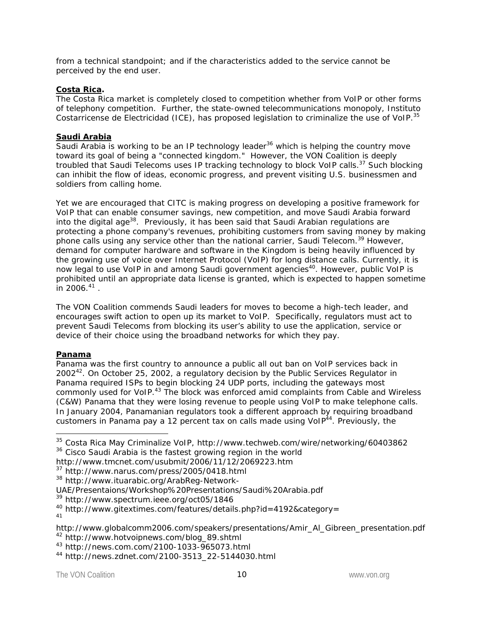from a technical standpoint; and if the characteristics added to the service cannot be perceived by the end user.

## **Costa Rica.**

The Costa Rica market is completely closed to competition whether from VoIP or other forms of telephony competition. Further, the state-owned telecommunications monopoly, Instituto Costarricense de Electricidad (ICE), has proposed legislation to criminalize the use of VoIP.<sup>35</sup>

# **Saudi Arabia**

Saudi Arabia is working to be an IP technology leader<sup>36</sup> which is helping the country move toward its goal of being a "connected kingdom." However, the VON Coalition is deeply troubled that Saudi Telecoms uses IP tracking technology to block VoIP calls.<sup>37</sup> Such blocking can inhibit the flow of ideas, economic progress, and prevent visiting U.S. businessmen and soldiers from calling home.

Yet we are encouraged that CITC is making progress on developing a positive framework for VoIP that can enable consumer savings, new competition, and move Saudi Arabia forward into the digital age<sup>38</sup>. Previously, it has been said that Saudi Arabian regulations are protecting a phone company's revenues, prohibiting customers from saving money by making phone calls using any service other than the national carrier, Saudi Telecom.<sup>39</sup> However, demand for computer hardware and software in the Kingdom is being heavily influenced by the growing use of voice over Internet Protocol (VoIP) for long distance calls. Currently, it is now legal to use VoIP in and among Saudi government agencies<sup>40</sup>. However, public VoIP is prohibited until an appropriate data license is granted, which is expected to happen sometime  $\frac{1}{1}$  n 2006.<sup>41</sup> .

The VON Coalition commends Saudi leaders for moves to become a high-tech leader, and encourages swift action to open up its market to VoIP. Specifically, regulators must act to prevent Saudi Telecoms from blocking its user's ability to use the application, service or device of their choice using the broadband networks for which they pay.

### **Panama**

Panama was the first country to announce a public all out ban on VoIP services back in  $2002<sup>42</sup>$ . On October 25, 2002, a regulatory decision by the Public Services Regulator in Panama required ISPs to begin blocking 24 UDP ports, including the gateways most commonly used for VoIP.<sup>43</sup> The block was enforced amid complaints from Cable and Wireless (C&W) Panama that they were losing revenue to people using VoIP to make telephone calls. In January 2004, Panamanian regulators took a different approach by requiring broadband customers in Panama pay a 12 percent tax on calls made using  $VolP<sup>44</sup>$ . Previously, the

1

<sup>35</sup> Costa Rica May Criminalize VoIP, http://www.techweb.com/wire/networking/60403862 <sup>36</sup> Cisco Saudi Arabia is the fastest growing region in the world

http://www.tmcnet.com/usubmit/2006/11/12/2069223.htm

<sup>37</sup> http://www.narus.com/press/2005/0418.html

<sup>38</sup> http://www.ituarabic.org/ArabReg-Network-

UAE/Presentaions/Workshop%20Presentations/Saudi%20Arabia.pdf

<sup>39</sup> http://www.spectrum.ieee.org/oct05/1846

<sup>40</sup> http://www.gitextimes.com/features/details.php?id=4192&category=

<sup>41</sup>

http://www.globalcomm2006.com/speakers/presentations/Amir\_Al\_Gibreen\_presentation.pdf <sup>42</sup> http://www.hotvoipnews.com/blog\_89.shtml

<sup>43</sup> http://news.com.com/2100-1033-965073.html

<sup>44</sup> http://news.zdnet.com/2100-3513\_22-5144030.html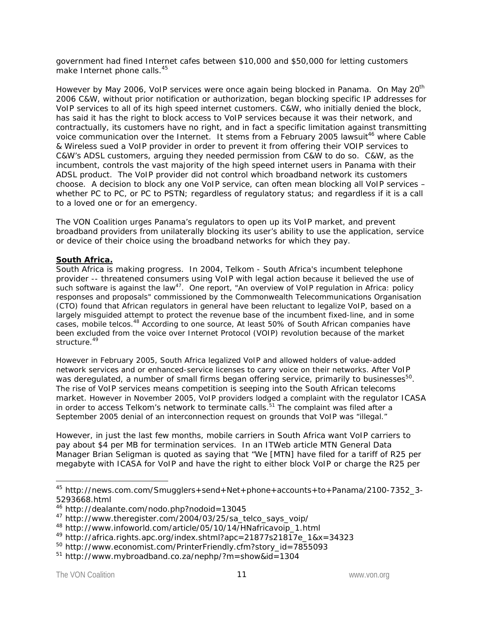government had fined Internet cafes between \$10,000 and \$50,000 for letting customers make Internet phone calls.<sup>45</sup>

However by May 2006, VoIP services were once again being blocked in Panama. On May 20<sup>th</sup> 2006 C&W, without prior notification or authorization, began blocking specific IP addresses for VoIP services to all of its high speed internet customers. C&W, who initially denied the block, has said it has the right to block access to VoIP services because it was their network, and contractually, its customers have no right, and in fact a specific limitation against transmitting voice communication over the Internet. It stems from a February 2005 lawsuit<sup>46</sup> where Cable & Wireless sued a VoIP provider in order to prevent it from offering their VOIP services to C&W's ADSL customers, arguing they needed permission from C&W to do so. C&W, as the incumbent, controls the vast majority of the high speed internet users in Panama with their ADSL product. The VoIP provider did not control which broadband network its customers choose. A decision to block any one VoIP service, can often mean blocking all VoIP services – whether PC to PC, or PC to PSTN; regardless of regulatory status; and regardless if it is a call to a loved one or for an emergency.

The VON Coalition urges Panama's regulators to open up its VoIP market, and prevent broadband providers from unilaterally blocking its user's ability to use the application, service or device of their choice using the broadband networks for which they pay.

### **South Africa.**

South Africa is making progress. In 2004, Telkom - South Africa's incumbent telephone provider -- threatened consumers using VoIP with legal action because it believed the use of such software is against the law<sup>47</sup>. One report, "An overview of VoIP regulation in Africa: policy *responses and proposals*" commissioned by the Commonwealth Telecommunications Organisation (CTO) found that African regulators in general have been reluctant to legalize VoIP, based on a largely misguided attempt to protect the revenue base of the incumbent fixed-line, and in some cases, mobile telcos.<sup>48</sup> According to one source, At least 50% of South African companies have been excluded from the voice over Internet Protocol (VOIP) revolution because of the market structure.<sup>49</sup>

However in February 2005, South Africa legalized VoIP and allowed holders of value-added network services and or enhanced-service licenses to carry voice on their networks. After VoIP was deregulated, a number of small firms began offering service, primarily to businesses<sup>50</sup>. The rise of VoIP services means competition is seeping into the South African telecoms market. However in November 2005, VoIP providers lodged a complaint with the regulator ICASA in order to access Telkom's network to terminate calls.<sup>51</sup> The complaint was filed after a September 2005 denial of an interconnection request on grounds that VoIP was "illegal."

However, in just the last few months, mobile carriers in South Africa want VoIP carriers to pay about \$4 per MB for termination services. In an ITWeb article MTN General Data Manager Brian Seligman is quoted as saying that "*We [MTN] have filed for a tariff of R25 per megabyte with ICASA for VoIP and have the right to either block VoIP or charge the R25 per* 

-

<sup>45</sup> http://news.com.com/Smugglers+send+Net+phone+accounts+to+Panama/2100-7352\_3- 5293668.html

<sup>46</sup> http://dealante.com/nodo.php?nodoid=13045

<sup>47</sup> http://www.theregister.com/2004/03/25/sa\_telco\_says\_voip/

<sup>48</sup> http://www.infoworld.com/article/05/10/14/HNafricavoip\_1.html

<sup>49</sup> http://africa.rights.apc.org/index.shtml?apc=21877s21817e\_1&x=34323

<sup>50</sup> http://www.economist.com/PrinterFriendly.cfm?story\_id=7855093

<sup>51</sup> http://www.mybroadband.co.za/nephp/?m=show&id=1304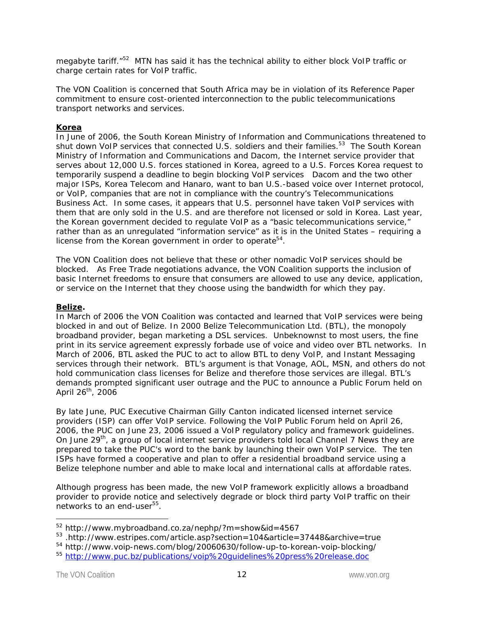*megabyte tariff.*"52 MTN has said it has the technical ability to either block VoIP traffic or charge certain rates for VoIP traffic.

The VON Coalition is concerned that South Africa may be in violation of its Reference Paper commitment to ensure cost-oriented interconnection to the public telecommunications transport networks and services.

## **Korea**

In June of 2006, the South Korean Ministry of Information and Communications threatened to shut down VoIP services that connected U.S. soldiers and their families.<sup>53</sup> The South Korean Ministry of Information and Communications and Dacom, the Internet service provider that serves about 12,000 U.S. forces stationed in Korea, agreed to a U.S. Forces Korea request to temporarily suspend a deadline to begin blocking VoIP services Dacom and the two other major ISPs, Korea Telecom and Hanaro, want to ban U.S.-based voice over Internet protocol, or VoIP, companies that are not in compliance with the country's Telecommunications Business Act. In some cases, it appears that U.S. personnel have taken VoIP services with them that are only sold in the U.S. and are therefore not licensed or sold in Korea. Last year, the Korean government decided to regulate VoIP as a "basic telecommunications service," rather than as an unregulated "information service" as it is in the United States – requiring a license from the Korean government in order to operate<sup>54</sup>.

The VON Coalition does not believe that these or other nomadic VoIP services should be blocked. As Free Trade negotiations advance, the VON Coalition supports the inclusion of basic Internet freedoms to ensure that consumers are allowed to use any device, application, or service on the Internet that they choose using the bandwidth for which they pay.

## **Belize.**

In March of 2006 the VON Coalition was contacted and learned that VoIP services were being blocked in and out of Belize. In 2000 Belize Telecommunication Ltd. (BTL), the monopoly broadband provider, began marketing a DSL services. Unbeknownst to most users, the fine print in its service agreement expressly forbade use of voice and video over BTL networks. In March of 2006, BTL asked the PUC to act to allow BTL to deny VoIP, and Instant Messaging services through their network. BTL's argument is that Vonage, AOL, MSN, and others do not hold communication class licenses for Belize and therefore those services are illegal. BTL's demands prompted significant user outrage and the PUC to announce a Public Forum held on April 26<sup>th</sup>, 2006

By late June, PUC Executive Chairman Gilly Canton indicated licensed internet service providers (ISP) can offer VoIP service. Following the VoIP Public Forum held on April 26, 2006, the PUC on June 23, 2006 issued a VoIP regulatory policy and framework guidelines. On June 29<sup>th</sup>, a group of local internet service providers told local Channel 7 News they are prepared to take the PUC's word to the bank by launching their own VoIP service. The ten ISPs have formed a cooperative and plan to offer a residential broadband service using a Belize telephone number and able to make local and international calls at affordable rates.

Although progress has been made, the new VoIP framework explicitly allows a broadband provider to provide notice and selectively degrade or block third party VoIP traffic on their networks to an end-user<sup>55</sup>.

-

<sup>52</sup> http://www.mybroadband.co.za/nephp/?m=show&id=4567

<sup>53 .</sup>http://www.estripes.com/article.asp?section=104&article=37448&archive=true

<sup>54</sup> http://www.voip-news.com/blog/20060630/follow-up-to-korean-voip-blocking/

<sup>55</sup> http://www.puc.bz/publications/voip%20guidelines%20press%20release.doc